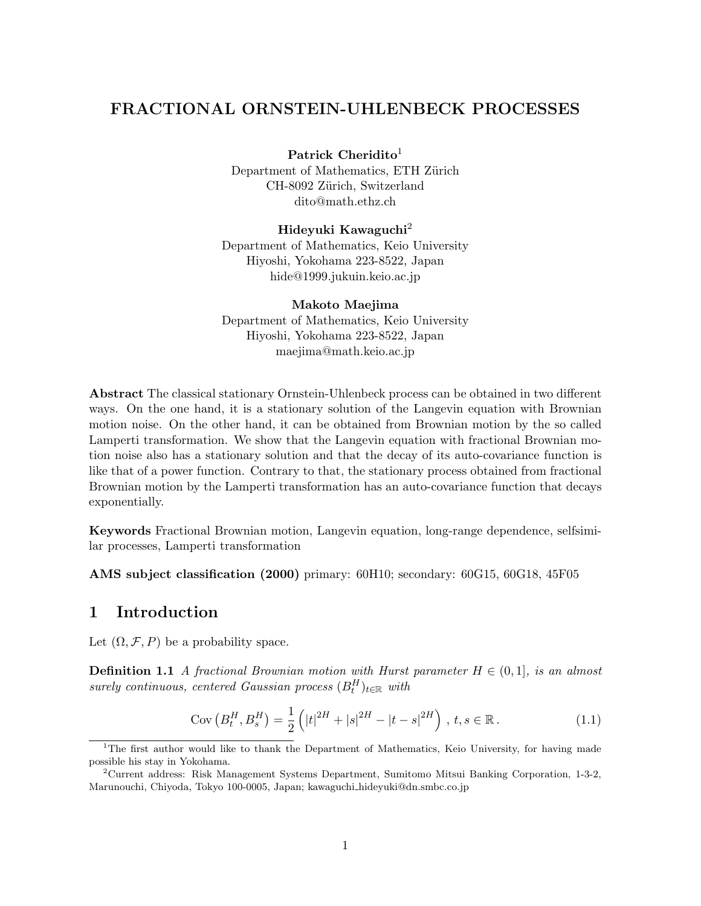## FRACTIONAL ORNSTEIN-UHLENBECK PROCESSES

Patrick Cheridito<sup>1</sup>

Department of Mathematics, ETH Zürich CH-8092 Zürich, Switzerland dito@math.ethz.ch

#### Hideyuki Kawaguchi<sup>2</sup>

Department of Mathematics, Keio University Hiyoshi, Yokohama 223-8522, Japan hide@1999.jukuin.keio.ac.jp

Makoto Maejima Department of Mathematics, Keio University Hiyoshi, Yokohama 223-8522, Japan maejima@math.keio.ac.jp

Abstract The classical stationary Ornstein-Uhlenbeck process can be obtained in two different ways. On the one hand, it is a stationary solution of the Langevin equation with Brownian motion noise. On the other hand, it can be obtained from Brownian motion by the so called Lamperti transformation. We show that the Langevin equation with fractional Brownian motion noise also has a stationary solution and that the decay of its auto-covariance function is like that of a power function. Contrary to that, the stationary process obtained from fractional Brownian motion by the Lamperti transformation has an auto-covariance function that decays exponentially.

Keywords Fractional Brownian motion, Langevin equation, long-range dependence, selfsimilar processes, Lamperti transformation

AMS subject classification (2000) primary: 60H10; secondary: 60G15, 60G18, 45F05

## 1 Introduction

Let  $(\Omega, \mathcal{F}, P)$  be a probability space.

**Definition 1.1** A fractional Brownian motion with Hurst parameter  $H \in (0,1]$ , is an almost  $\emph{surely continuous, centered Gaussian process }~(B_t^H)_{t\in\mathbb{R}}~with~$ 

Cov 
$$
(B_t^H, B_s^H) = \frac{1}{2} \left( |t|^{2H} + |s|^{2H} - |t - s|^{2H} \right), t, s \in \mathbb{R}.
$$
 (1.1)

<sup>&</sup>lt;sup>1</sup>The first author would like to thank the Department of Mathematics, Keio University, for having made possible his stay in Yokohama.

<sup>2</sup>Current address: Risk Management Systems Department, Sumitomo Mitsui Banking Corporation, 1-3-2, Marunouchi, Chiyoda, Tokyo 100-0005, Japan; kawaguchi hideyuki@dn.smbc.co.jp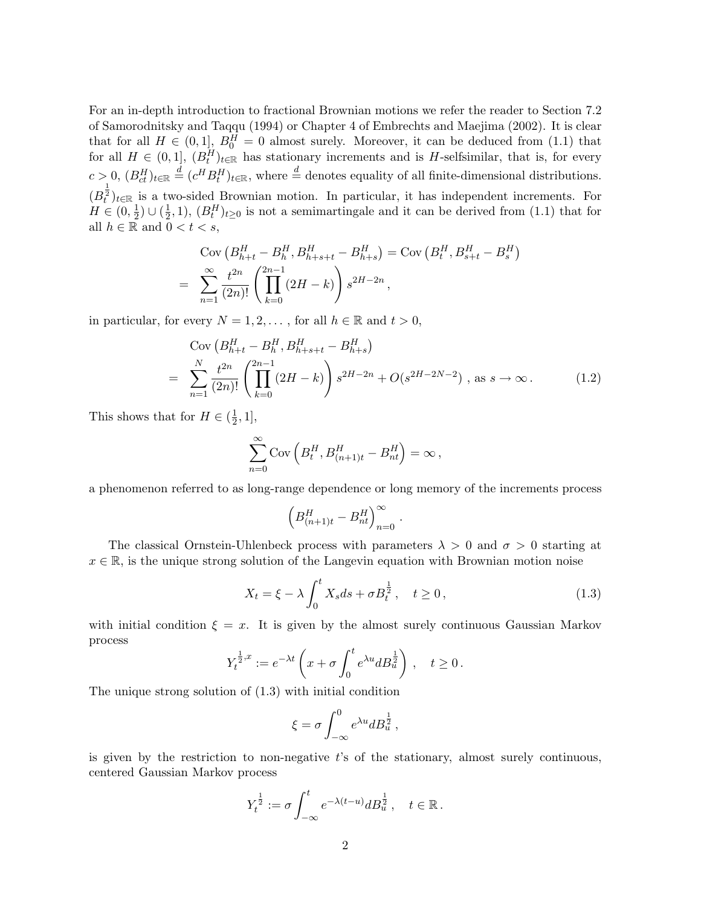For an in-depth introduction to fractional Brownian motions we refer the reader to Section 7.2 of Samorodnitsky and Taqqu (1994) or Chapter 4 of Embrechts and Maejima (2002). It is clear that for all  $H \in (0,1], B_0^H = 0$  almost surely. Moreover, it can be deduced from (1.1) that for all  $H \in (0,1], (B_t^H)_{t \in \mathbb{R}}$  has stationary increments and is H-selfsimilar, that is, for every  $c > 0$ ,  $(B_{ct}^H)_{t \in \mathbb{R}} \stackrel{d}{=} (c^H B_t^H)_{t \in \mathbb{R}}$ , where  $\stackrel{d}{=}$  denotes equality of all finite-dimensional distributions.  $(B_t^{\frac{1}{2}})_{t\in\mathbb{R}}$  is a two-sided Brownian motion. In particular, it has independent increments. For  $H \in (0, \frac{1}{2})$  $(\frac{1}{2}) \cup (\frac{1}{2})$  $(\frac{1}{2},1)$ ,  $(B_t^H)_{t\geq 0}$  is not a semimartingale and it can be derived from (1.1) that for all  $h \in \mathbb{R}$  and  $0 < t < s$ ,

$$
\text{Cov}\left(B_{h+t}^H - B_h^H, B_{h+s+t}^H - B_{h+s}^H\right) = \text{Cov}\left(B_t^H, B_{s+t}^H - B_s^H\right)
$$
\n
$$
= \sum_{n=1}^{\infty} \frac{t^{2n}}{(2n)!} \left(\prod_{k=0}^{2n-1} (2H - k)\right) s^{2H - 2n},
$$

in particular, for every  $N = 1, 2, \dots$ , for all  $h \in \mathbb{R}$  and  $t > 0$ ,

$$
\text{Cov}\left(B_{h+t}^H - B_h^H, B_{h+s+t}^H - B_{h+s}^H\right)
$$
\n
$$
= \sum_{n=1}^N \frac{t^{2n}}{(2n)!} \left(\prod_{k=0}^{2n-1} (2H - k)\right) s^{2H-2n} + O(s^{2H-2N-2}), \text{ as } s \to \infty. \tag{1.2}
$$

This shows that for  $H \in (\frac{1}{2})$  $\frac{1}{2}, 1],$ 

$$
\sum_{n=0}^{\infty} \mathrm{Cov}\left(B_t^H, B_{(n+1)t}^H - B_{nt}^H\right) = \infty,
$$

a phenomenon referred to as long-range dependence or long memory of the increments process

$$
\left(B^H_{(n+1)t}-B^H_{nt}\right)_{n=0}^\infty.
$$

The classical Ornstein-Uhlenbeck process with parameters  $\lambda > 0$  and  $\sigma > 0$  starting at  $x \in \mathbb{R}$ , is the unique strong solution of the Langevin equation with Brownian motion noise

$$
X_t = \xi - \lambda \int_0^t X_s ds + \sigma B_t^{\frac{1}{2}}, \quad t \ge 0,
$$
\n(1.3)

with initial condition  $\xi = x$ . It is given by the almost surely continuous Gaussian Markov process  $rt$  $\mathbf{r}$ 

$$
Y_t^{\frac{1}{2},x} := e^{-\lambda t} \left(x + \sigma \int_0^t e^{\lambda u} dB_u^{\frac{1}{2}} \right), \quad t \ge 0.
$$

The unique strong solution of (1.3) with initial condition

$$
\xi = \sigma \int_{-\infty}^{0} e^{\lambda u} dB_u^{\frac{1}{2}},
$$

is given by the restriction to non-negative  $t$ 's of the stationary, almost surely continuous, centered Gaussian Markov process

$$
Y_t^{\frac{1}{2}} := \sigma \int_{-\infty}^t e^{-\lambda(t-u)} dB_u^{\frac{1}{2}}, \quad t \in \mathbb{R} \, .
$$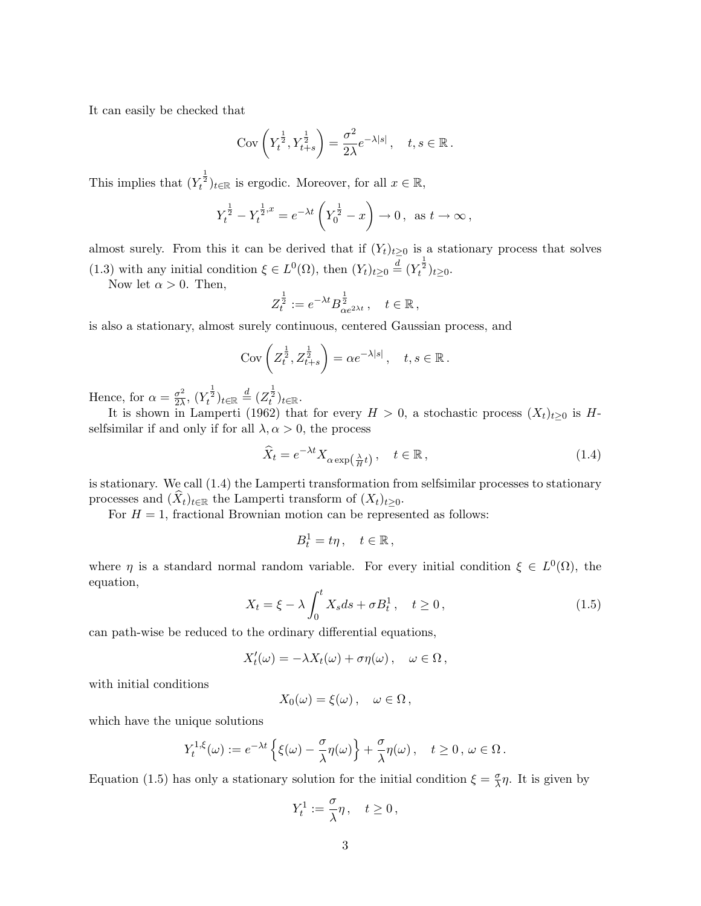It can easily be checked that

$$
Cov\left(Y_t^{\frac{1}{2}}, Y_{t+s}^{\frac{1}{2}}\right) = \frac{\sigma^2}{2\lambda} e^{-\lambda|s|} \,, \quad t, s \in \mathbb{R} \,.
$$

This implies that  $(Y_t^{\frac{1}{2}})_{t \in \mathbb{R}}$  is ergodic. Moreover, for all  $x \in \mathbb{R}$ ,

$$
Y_t^{\frac{1}{2}} - Y_t^{\frac{1}{2},x} = e^{-\lambda t} \left(Y_0^{\frac{1}{2}} - x\right) \to 0 \,, \text{ as } t \to \infty \,,
$$

almost surely. From this it can be derived that if  $(Y_t)_{t\geq 0}$  is a stationary process that solves (1.3) with any initial condition  $\xi \in L^0(\Omega)$ , then  $(Y_t)_{t\geq 0} \stackrel{\overline{d}}{=} (Y_t^{\frac{1}{2}})_{t\geq 0}$ .

Now let  $\alpha > 0$ . Then,

$$
Z_t^{\frac{1}{2}} := e^{-\lambda t} B_{\alpha e^{2\lambda t}}^{\frac{1}{2}}, \quad t \in \mathbb{R},
$$

is also a stationary, almost surely continuous, centered Gaussian process, and

$$
Cov\left(Z_t^{\frac{1}{2}}, Z_{t+s}^{\frac{1}{2}}\right) = \alpha e^{-\lambda|s|}, \quad t, s \in \mathbb{R}.
$$

Hence, for  $\alpha = \frac{\sigma^2}{2\lambda}$  $\frac{\sigma^2}{2\lambda}, \, (Y_t^{\frac{1}{2}})_{t\in\mathbb{R}} \stackrel{d}{=} (Z_t^{\frac{1}{2}})_{t\in\mathbb{R}}.$ 

It is shown in Lamperti (1962) that for every  $H > 0$ , a stochastic process  $(X_t)_{t\geq 0}$  is  $H$ selfsimilar if and only if for all  $\lambda, \alpha > 0$ , the process

$$
\widehat{X}_t = e^{-\lambda t} X_{\alpha \exp\left(\frac{\lambda}{H}t\right)}, \quad t \in \mathbb{R}, \tag{1.4}
$$

is stationary. We call (1.4) the Lamperti transformation from selfsimilar processes to stationary processes and  $(\widehat{X}_t)_{t \in \mathbb{R}}$  the Lamperti transform of  $(X_t)_{t \geq 0}$ .

For  $H = 1$ , fractional Brownian motion can be represented as follows:

$$
B_t^1 = t\eta \,, \quad t \in \mathbb{R} \,,
$$

where  $\eta$  is a standard normal random variable. For every initial condition  $\xi \in L^0(\Omega)$ , the equation,  $rt$ 

$$
X_t = \xi - \lambda \int_0^t X_s ds + \sigma B_t^1, \quad t \ge 0,
$$
\n(1.5)

can path-wise be reduced to the ordinary differential equations,

$$
X'_t(\omega) = -\lambda X_t(\omega) + \sigma \eta(\omega), \quad \omega \in \Omega,
$$

with initial conditions

$$
X_0(\omega) = \xi(\omega), \quad \omega \in \Omega\,,
$$

which have the unique solutions

$$
Y_t^{1,\xi}(\omega) := e^{-\lambda t} \left\{ \xi(\omega) - \frac{\sigma}{\lambda} \eta(\omega) \right\} + \frac{\sigma}{\lambda} \eta(\omega) \,, \quad t \ge 0 \,, \, \omega \in \Omega \,.
$$

Equation (1.5) has only a stationary solution for the initial condition  $\xi = \frac{\sigma}{\lambda}$  $\frac{\sigma}{\lambda}$ η. It is given by

$$
Y_t^1 := \frac{\sigma}{\lambda} \eta \,, \quad t \ge 0 \,,
$$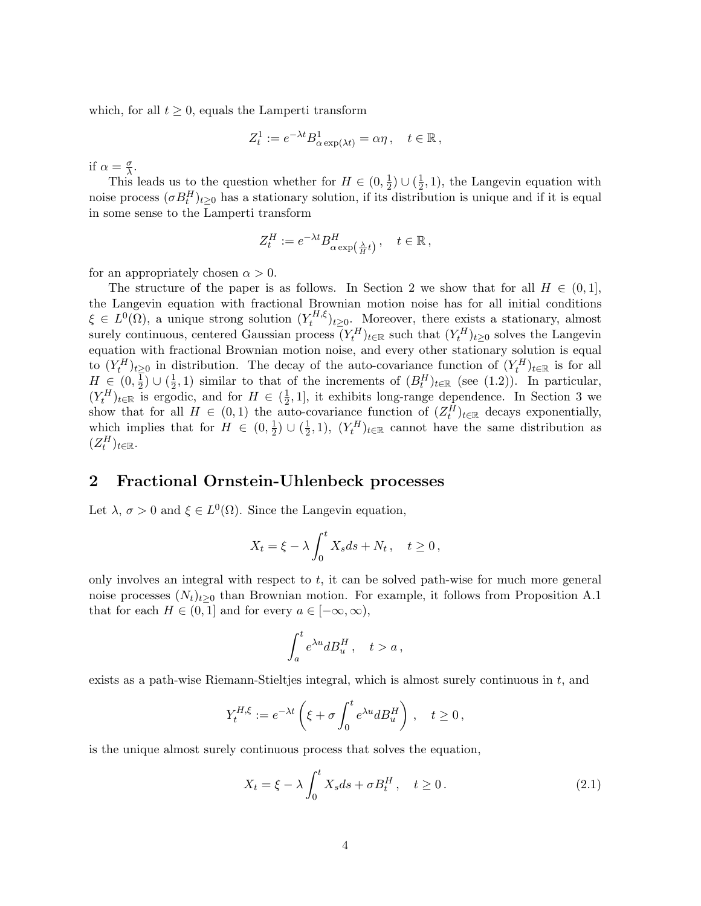which, for all  $t \geq 0$ , equals the Lamperti transform

$$
Z_t^1 := e^{-\lambda t} B^1_{\alpha \exp(\lambda t)} = \alpha \eta \,, \quad t \in \mathbb{R} \,,
$$

if  $\alpha = \frac{\sigma}{\lambda}$  $\frac{\sigma}{\lambda}$ .

This leads us to the question whether for  $H \in (0, \frac{1}{2})$  $(\frac{1}{2}) \cup (\frac{1}{2})$  $(\frac{1}{2}, 1)$ , the Langevin equation with noise process  $(\sigma B_t^H)_{t\geq0}$  has a stationary solution, if its distribution is unique and if it is equal in some sense to the Lamperti transform

$$
Z_t^H := e^{-\lambda t} B_{\alpha \exp\left(\frac{\lambda}{H}t\right)}^H, \quad t \in \mathbb{R},
$$

for an appropriately chosen  $\alpha > 0$ .

The structure of the paper is as follows. In Section 2 we show that for all  $H \in (0,1],$ the Langevin equation with fractional Brownian motion noise has for all initial conditions  $\xi \in L^0(\Omega)$ , a unique strong solution  $(Y_t^{H,\xi})$  $(t<sup>H</sup>,\xi)_{t\geq 0}$ . Moreover, there exists a stationary, almost surely continuous, centered Gaussian process  $(Y_t^H)_{t \in \mathbb{R}}$  such that  $(Y_t^H)_{t \geq 0}$  solves the Langevin equation with fractional Brownian motion noise, and every other stationary solution is equal to  $(Y_t^H)_{t\geq0}$  in distribution. The decay of the auto-covariance function of  $(Y_t^H)_{t\in\mathbb{R}}$  is for all  $H \in (0, \frac{1}{2})$  $\frac{\overline{1}}{2}$ ) ∪  $(\frac{1}{2}$  $(\frac{1}{2},1)$  similar to that of the increments of  $(B_t^H)_{t\in\mathbb{R}}$  (see (1.2)). In particular,  $(Y_t^H)_{t \in \mathbb{R}}$  is ergodic, and for  $H \in (\frac{1}{2})$  $\frac{1}{2}$ , 1, it exhibits long-range dependence. In Section 3 we show that for all  $H \in (0,1)$  the auto-covariance function of  $(Z_t^H)_{t \in \mathbb{R}}$  decays exponentially, which implies that for  $H \in (0, \frac{1}{2})$  $(\frac{1}{2}) \cup (\frac{1}{2})$  $(\frac{1}{2}, 1)$ ,  $(Y_t^H)_{t \in \mathbb{R}}$  cannot have the same distribution as  $(Z_t^H)_{t\in\mathbb{R}}$ .

### 2 Fractional Ornstein-Uhlenbeck processes

Let  $\lambda, \sigma > 0$  and  $\xi \in L^0(\Omega)$ . Since the Langevin equation,

$$
X_t = \xi - \lambda \int_0^t X_s ds + N_t \,, \quad t \ge 0 \,,
$$

only involves an integral with respect to  $t$ , it can be solved path-wise for much more general noise processes  $(N_t)_{t>0}$  than Brownian motion. For example, it follows from Proposition A.1 that for each  $H \in (0,1]$  and for every  $a \in [-\infty,\infty)$ ,

$$
\int_a^t e^{\lambda u} dB_u^H\,,\quad t>a\,,
$$

exists as a path-wise Riemann-Stieltjes integral, which is almost surely continuous in  $t$ , and

$$
Y_t^{H,\xi} := e^{-\lambda t} \left( \xi + \sigma \int_0^t e^{\lambda u} dB_u^H \right), \quad t \ge 0,
$$

is the unique almost surely continuous process that solves the equation,

$$
X_t = \xi - \lambda \int_0^t X_s ds + \sigma B_t^H, \quad t \ge 0.
$$
 (2.1)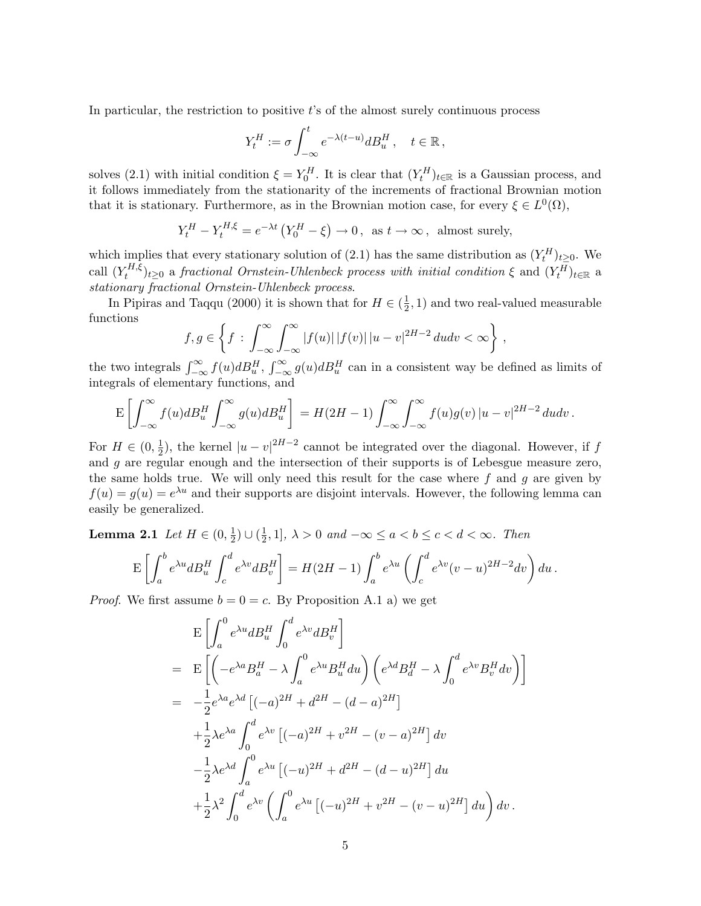In particular, the restriction to positive  $t$ 's of the almost surely continuous process

$$
Y^H_t:=\sigma\int_{-\infty}^t e^{-\lambda(t-u)}dB^H_u\,,\quad t\in\mathbb{R}\,,
$$

solves (2.1) with initial condition  $\xi = Y_0^H$ . It is clear that  $(Y_t^H)_{t \in \mathbb{R}}$  is a Gaussian process, and it follows immediately from the stationarity of the increments of fractional Brownian motion that it is stationary. Furthermore, as in the Brownian motion case, for every  $\xi \in L^0(\Omega)$ ,

$$
Y_t^H - Y_t^{H,\xi} = e^{-\lambda t} \left( Y_0^H - \xi \right) \to 0, \text{ as } t \to \infty, \text{ almost surely,}
$$

which implies that every stationary solution of (2.1) has the same distribution as  $(Y_t^H)_{t\geq0}$ . We call  $(Y_t^{H,\xi})$  $(t_t^{H,\xi})_{t\geq0}$  a fractional Ornstein-Uhlenbeck process with initial condition  $\xi$  and  $(Y_t^H)_{t\in\mathbb{R}}$  a stationary fractional Ornstein-Uhlenbeck process.

In Pipiras and Taqqu (2000) it is shown that for  $H \in \left(\frac{1}{2}\right)$  $(\frac{1}{2}, 1)$  and two real-valued measurable functions ½  $r^{\infty}$  $r^{\infty}$  $\mathbf{v}$ 

$$
f,g \in \left\{ f : \int_{-\infty}^{\infty} \int_{-\infty}^{\infty} |f(u)| |f(v)| |u-v|^{2H-2} du dv < \infty \right\},\
$$

the two integrals  $\int_{-\infty}^{\infty} f(u) dB_u^H$ ,  $\int_{-\infty}^{\infty} g(u) dB_u^H$  can in a consistent way be defined as limits of integrals of elementary functions, and

$$
\mathbf{E}\left[\int_{-\infty}^{\infty}f(u)dB_u^H\int_{-\infty}^{\infty}g(u)dB_u^H\right] = H(2H-1)\int_{-\infty}^{\infty}\int_{-\infty}^{\infty}f(u)g(v)|u-v|^{2H-2}dudv.
$$

For  $H \in (0, \frac{1}{2})$  $\frac{1}{2}$ ), the kernel  $|u - v|^{2H-2}$  cannot be integrated over the diagonal. However, if f and g are regular enough and the intersection of their supports is of Lebesgue measure zero, the same holds true. We will only need this result for the case where  $f$  and  $g$  are given by  $f(u) = g(u) = e^{\lambda u}$  and their supports are disjoint intervals. However, the following lemma can easily be generalized.

**Lemma 2.1** Let  $H \in (0, \frac{1}{2})$  $(\frac{1}{2}) \cup (\frac{1}{2})$  $\frac{1}{2}$ , 1],  $\lambda > 0$  and  $-\infty \le a < b \le c < d < \infty$ . Then

$$
\mathbf{E}\left[\int_a^b e^{\lambda u} dB_u^H \int_c^d e^{\lambda v} dB_v^H\right] = H(2H-1) \int_a^b e^{\lambda u} \left(\int_c^d e^{\lambda v} (v-u)^{2H-2} dv\right) du\,.
$$

*Proof.* We first assume  $b = 0 = c$ . By Proposition A.1 a) we get

$$
\begin{split}\n&\mathbf{E}\left[\int_{a}^{0}e^{\lambda u}dB_{u}^{H}\int_{0}^{d}e^{\lambda v}dB_{v}^{H}\right] \\
&=\mathbf{E}\left[\left(-e^{\lambda a}B_{a}^{H}-\lambda\int_{a}^{0}e^{\lambda u}B_{u}^{H}du\right)\left(e^{\lambda d}B_{d}^{H}-\lambda\int_{0}^{d}e^{\lambda v}B_{v}^{H}dv\right)\right] \\
&=-\frac{1}{2}e^{\lambda a}e^{\lambda d}\left[(-a)^{2H}+d^{2H}-(d-a)^{2H}\right] \\
&+\frac{1}{2}\lambda e^{\lambda a}\int_{0}^{d}e^{\lambda v}\left[(-a)^{2H}+v^{2H}-(v-a)^{2H}\right]dv \\
&-\frac{1}{2}\lambda e^{\lambda d}\int_{a}^{0}e^{\lambda u}\left[(-u)^{2H}+d^{2H}-(d-u)^{2H}\right]du \\
&+\frac{1}{2}\lambda^{2}\int_{0}^{d}e^{\lambda v}\left(\int_{a}^{0}e^{\lambda u}\left[(-u)^{2H}+v^{2H}-(v-u)^{2H}\right]du\right)dv.\n\end{split}
$$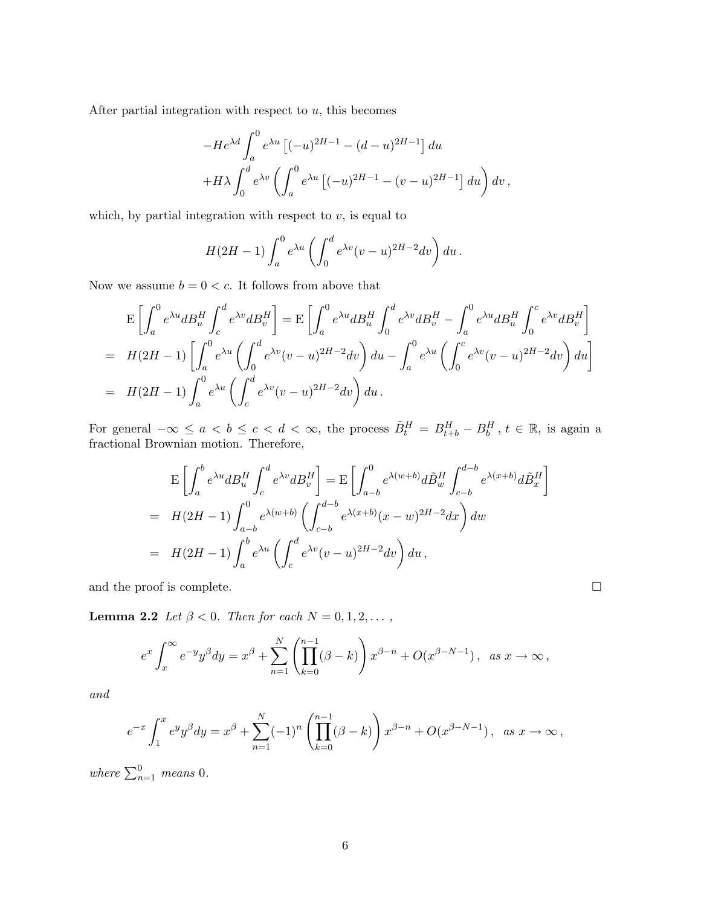After partial integration with respect to  $u$ , this becomes

$$
-He^{\lambda d} \int_{a}^{0} e^{\lambda u} [(-u)^{2H-1} - (d-u)^{2H-1}] du
$$
  
+ $H\lambda \int_{0}^{d} e^{\lambda v} \left( \int_{a}^{0} e^{\lambda u} [(-u)^{2H-1} - (v-u)^{2H-1}] du \right) dv,$ 

which, by partial integration with respect to  $v$ , is equal to

$$
H(2H-1)\int_a^0 e^{\lambda u} \left(\int_0^d e^{\lambda v} (v-u)^{2H-2} dv\right) du.
$$

Now we assume  $b = 0 < c$ . It follows from above that

$$
\begin{split}\n&E\left[\int_{a}^{0}e^{\lambda u}dB_{u}^{H}\int_{c}^{d}e^{\lambda v}dB_{v}^{H}\right] = E\left[\int_{a}^{0}e^{\lambda u}dB_{u}^{H}\int_{0}^{d}e^{\lambda v}dB_{v}^{H} - \int_{a}^{0}e^{\lambda u}dB_{u}^{H}\int_{0}^{c}e^{\lambda v}dB_{v}^{H}\right] \\
&= H(2H-1)\left[\int_{a}^{0}e^{\lambda u}\left(\int_{0}^{d}e^{\lambda v}(v-u)^{2H-2}dv\right)du - \int_{a}^{0}e^{\lambda u}\left(\int_{0}^{c}e^{\lambda v}(v-u)^{2H-2}dv\right)du\right] \\
&= H(2H-1)\int_{a}^{0}e^{\lambda u}\left(\int_{c}^{d}e^{\lambda v}(v-u)^{2H-2}dv\right)du.\n\end{split}
$$

For general  $-\infty \le a < b \le c < d < \infty$ , the process  $\tilde{B}_t^H = B_{t+b}^H - B_b^H$ ,  $t \in \mathbb{R}$ , is again a fractional Brownian motion. Therefore,

$$
\mathcal{E}\left[\int_{a}^{b} e^{\lambda u} dB_{u}^{H} \int_{c}^{d} e^{\lambda v} dB_{v}^{H}\right] = \mathcal{E}\left[\int_{a-b}^{0} e^{\lambda (w+b)} d\tilde{B}_{w}^{H} \int_{c-b}^{d-b} e^{\lambda (x+b)} d\tilde{B}_{x}^{H}\right]
$$
  
\n
$$
= H(2H-1) \int_{a-b}^{0} e^{\lambda (w+b)} \left(\int_{c-b}^{d-b} e^{\lambda (x+b)} (x-w)^{2H-2} dx\right) dw
$$
  
\n
$$
= H(2H-1) \int_{a}^{b} e^{\lambda u} \left(\int_{c}^{d} e^{\lambda v} (v-u)^{2H-2} dv\right) du,
$$

and the proof is complete.  $\hfill \square$ 

**Lemma 2.2** Let  $\beta < 0$ . Then for each  $N = 0, 1, 2, \ldots$ ,

$$
e^x \int_x^{\infty} e^{-y} y^{\beta} dy = x^{\beta} + \sum_{n=1}^N \left( \prod_{k=0}^{n-1} (\beta - k) \right) x^{\beta - n} + O(x^{\beta - N - 1}), \text{ as } x \to \infty,
$$

and

$$
e^{-x} \int_1^x e^y y^\beta dy = x^\beta + \sum_{n=1}^N (-1)^n \left( \prod_{k=0}^{n-1} (\beta - k) \right) x^{\beta - n} + O(x^{\beta - N - 1}), \text{ as } x \to \infty,
$$

where  $\sum_{n=1}^{0}$  means 0.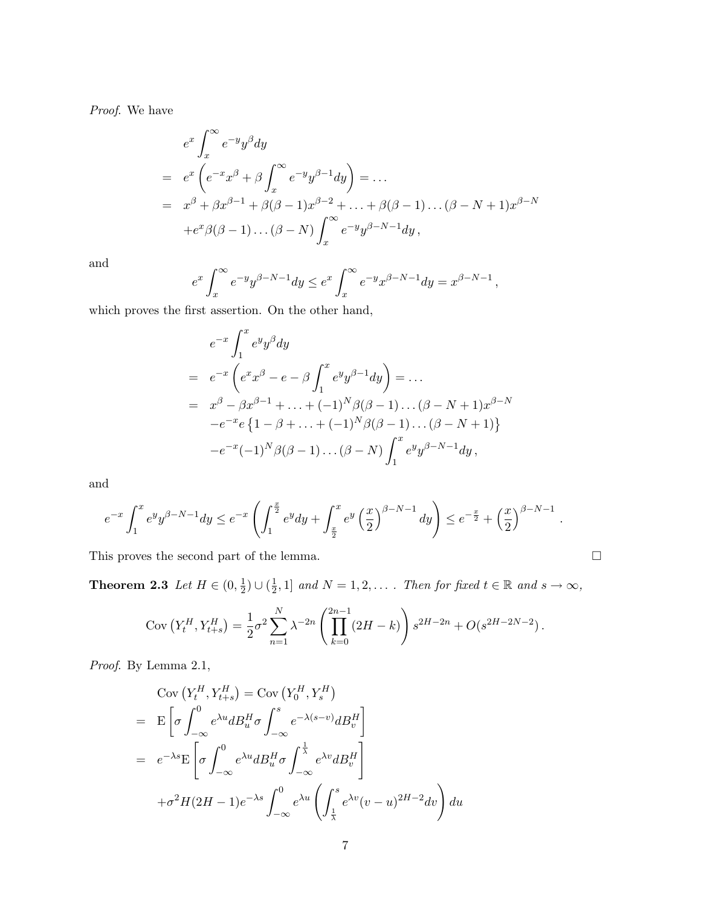Proof. We have

$$
e^{x} \int_{x}^{\infty} e^{-y} y^{\beta} dy
$$
  
=  $e^{x} \left( e^{-x} x^{\beta} + \beta \int_{x}^{\infty} e^{-y} y^{\beta-1} dy \right) = \dots$   
=  $x^{\beta} + \beta x^{\beta-1} + \beta (\beta - 1) x^{\beta-2} + \dots + \beta (\beta - 1) \dots (\beta - N + 1) x^{\beta - N}$   
+  $e^{x} \beta (\beta - 1) \dots (\beta - N) \int_{x}^{\infty} e^{-y} y^{\beta - N - 1} dy$ ,

and

$$
e^x \int_x^{\infty} e^{-y} y^{\beta - N - 1} dy \le e^x \int_x^{\infty} e^{-y} x^{\beta - N - 1} dy = x^{\beta - N - 1},
$$

which proves the first assertion. On the other hand,

$$
e^{-x} \int_{1}^{x} e^{y} y^{\beta} dy
$$
  
=  $e^{-x} \left( e^{x} x^{\beta} - e^{-\beta} \int_{1}^{x} e^{y} y^{\beta - 1} dy \right) = \dots$   
=  $x^{\beta} - \beta x^{\beta - 1} + \dots + (-1)^{N} \beta (\beta - 1) \dots (\beta - N + 1) x^{\beta - N}$   
 $-e^{-x} e \{1 - \beta + \dots + (-1)^{N} \beta (\beta - 1) \dots (\beta - N + 1) \}$   
 $-e^{-x} (-1)^{N} \beta (\beta - 1) \dots (\beta - N) \int_{1}^{x} e^{y} y^{\beta - N - 1} dy$ ,

and

$$
e^{-x} \int_1^x e^y y^{\beta - N - 1} dy \le e^{-x} \left( \int_1^{\frac{x}{2}} e^y dy + \int_{\frac{x}{2}}^x e^y \left( \frac{x}{2} \right)^{\beta - N - 1} dy \right) \le e^{-\frac{x}{2}} + \left( \frac{x}{2} \right)^{\beta - N - 1}.
$$

This proves the second part of the lemma.  $\Box$ 

Theorem 2.3 Let  $H \in (0, \frac{1}{2})$  $(\frac{1}{2}) \cup (\frac{1}{2})$  $\frac{1}{2}$ , 1] and  $N = 1, 2, \ldots$ . Then for fixed  $t \in \mathbb{R}$  and  $s \to \infty$ ,

$$
Cov(Y_t^H, Y_{t+s}^H) = \frac{1}{2}\sigma^2 \sum_{n=1}^N \lambda^{-2n} \left( \prod_{k=0}^{2n-1} (2H - k) \right) s^{2H - 2n} + O(s^{2H - 2N - 2}).
$$

Proof. By Lemma 2.1,

$$
\begin{split} &\text{Cov}\left(Y_t^H, Y_{t+s}^H\right) = \text{Cov}\left(Y_0^H, Y_s^H\right) \\ &= \mathcal{E}\left[\sigma \int_{-\infty}^0 e^{\lambda u} dB_u^H \sigma \int_{-\infty}^s e^{-\lambda(s-v)} dB_v^H\right] \\ &= \left. e^{-\lambda s} \mathcal{E}\left[\sigma \int_{-\infty}^0 e^{\lambda u} dB_u^H \sigma \int_{-\infty}^{\frac{1}{\lambda}} e^{\lambda v} dB_v^H\right] \\ &+ \sigma^2 H (2H-1) e^{-\lambda s} \int_{-\infty}^0 e^{\lambda u} \left(\int_{\frac{1}{\lambda}}^s e^{\lambda v} (v-u)^{2H-2} dv\right) du \end{split}
$$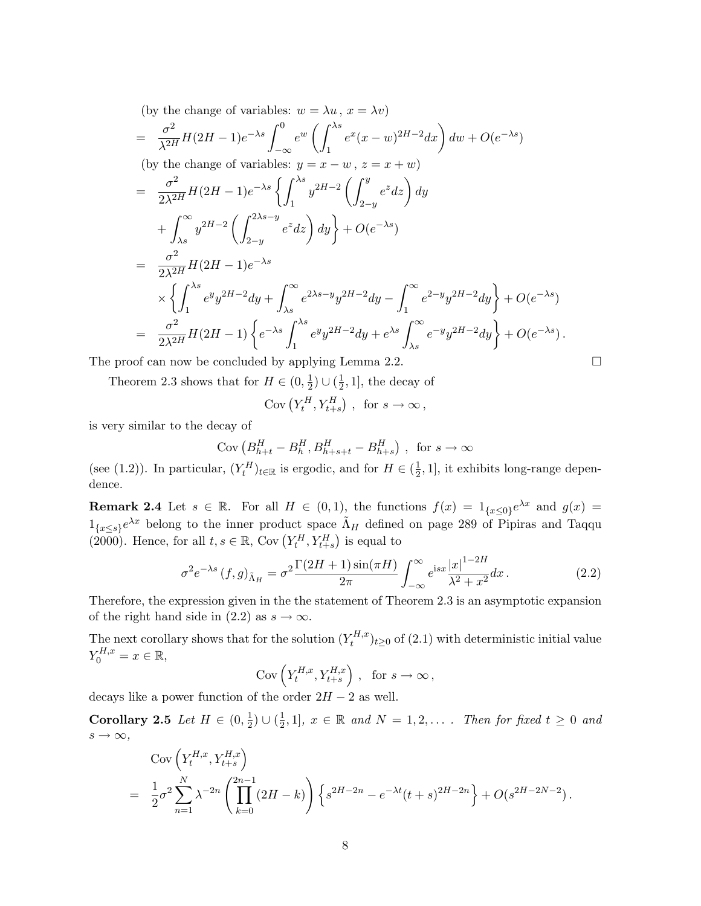(by the change of variables: 
$$
w = \lambda u
$$
,  $x = \lambda v$ )  
\n
$$
= \frac{\sigma^2}{\lambda^{2H}} H(2H - 1)e^{-\lambda s} \int_{-\infty}^0 e^w \left( \int_1^{\lambda s} e^x (x - w)^{2H - 2} dx \right) dw + O(e^{-\lambda s})
$$
\n(by the change of variables:  $y = x - w$ ,  $z = x + w$ )  
\n
$$
= \frac{\sigma^2}{2\lambda^{2H}} H(2H - 1)e^{-\lambda s} \left\{ \int_1^{\lambda s} y^{2H - 2} \left( \int_{2-y}^y e^z dz \right) dy \right\} + O(e^{-\lambda s})
$$
\n
$$
+ \int_{\lambda s}^{\infty} y^{2H - 2} \left( \int_{2-y}^{2\lambda s - y} e^z dz \right) dy + O(e^{-\lambda s})
$$
\n
$$
= \frac{\sigma^2}{2\lambda^{2H}} H(2H - 1)e^{-\lambda s}
$$
\n
$$
\times \left\{ \int_1^{\lambda s} e^y y^{2H - 2} dy + \int_{\lambda s}^{\infty} e^{2\lambda s - y} y^{2H - 2} dy - \int_1^{\infty} e^{2-y} y^{2H - 2} dy \right\} + O(e^{-\lambda s})
$$
\n
$$
= \frac{\sigma^2}{2\lambda^{2H}} H(2H - 1) \left\{ e^{-\lambda s} \int_1^{\lambda s} e^y y^{2H - 2} dy + e^{\lambda s} \int_{\lambda s}^{\infty} e^{-y} y^{2H - 2} dy \right\} + O(e^{-\lambda s}).
$$

The proof can now be concluded by applying Lemma 2.2.  $\Box$ 

Theorem 2.3 shows that for  $H \in (0, \frac{1}{2})$  $(\frac{1}{2}) \cup (\frac{1}{2})$  $(\frac{1}{2}, 1]$ , the decay of

Cov 
$$
(Y_t^H, Y_{t+s}^H)
$$
, for  $s \to \infty$ ,

is very similar to the decay of

$$
Cov (B_{h+t}^H - B_h^H, B_{h+s+t}^H - B_{h+s}^H), \text{ for } s \to \infty
$$

(see (1.2)). In particular,  $(Y_t^H)_{t \in \mathbb{R}}$  is ergodic, and for  $H \in (\frac{1}{2})$  $\frac{1}{2}$ , 1], it exhibits long-range dependence.

**Remark 2.4** Let  $s \in \mathbb{R}$ . For all  $H \in (0,1)$ , the functions  $f(x) = 1_{\{x \le 0\}}e^{\lambda x}$  and  $g(x) =$  $1_{\{x\leq s\}}e^{\lambda x}$  belong to the inner product space  $\tilde{\Lambda}_H$  defined on page 289 of Pipiras and Taqqu  $\Gamma_{\{x\leq s\}}e^{-s}$  belong to the liner product space<br>(2000). Hence, for all  $t, s \in \mathbb{R}$ , Cov  $(Y_t^H, Y_{t+s}^H)$ ;<br>√ is equal to

$$
\sigma^2 e^{-\lambda s} (f,g)_{\tilde{\Lambda}_H} = \sigma^2 \frac{\Gamma(2H+1)\sin(\pi H)}{2\pi} \int_{-\infty}^{\infty} e^{isx} \frac{|x|^{1-2H}}{\lambda^2 + x^2} dx.
$$
 (2.2)

Therefore, the expression given in the the statement of Theorem 2.3 is an asymptotic expansion of the right hand side in (2.2) as  $s \to \infty$ .

The next corollary shows that for the solution  $(Y_t^{H,x})$  $(t_t^{H,x})_{t\geq 0}$  of  $(2.1)$  with deterministic initial value  $Y_0^{H,x} = x \in \mathbb{R},$ <br>Cov $(Y_t^{H,x}, Y_{t+s}^{H,x})$ 

$$
Cov\left(Y_t^{H,x}, Y_{t+s}^{H,x}\right), \text{ for } s \to \infty,
$$

decays like a power function of the order  $2H - 2$  as well.

Corollary 2.5 Let  $H \in (0, \frac{1}{2})$  $\frac{1}{2}) \cup (\frac{1}{2})$  $\frac{1}{2}$ , 1],  $x \in \mathbb{R}$  and  $N = 1, 2, \ldots$  . Then for fixed  $t \geq 0$  and  $s \to \infty$ , ´

$$
\begin{split} & \text{Cov}\left(Y_t^{H,x}, Y_{t+s}^{H,x}\right) \\ &= \frac{1}{2}\sigma^2 \sum_{n=1}^N \lambda^{-2n} \left(\prod_{k=0}^{2n-1} \left(2H - k\right)\right) \left\{s^{2H-2n} - e^{-\lambda t} (t+s)^{2H-2n}\right\} + O(s^{2H-2N-2}). \end{split}
$$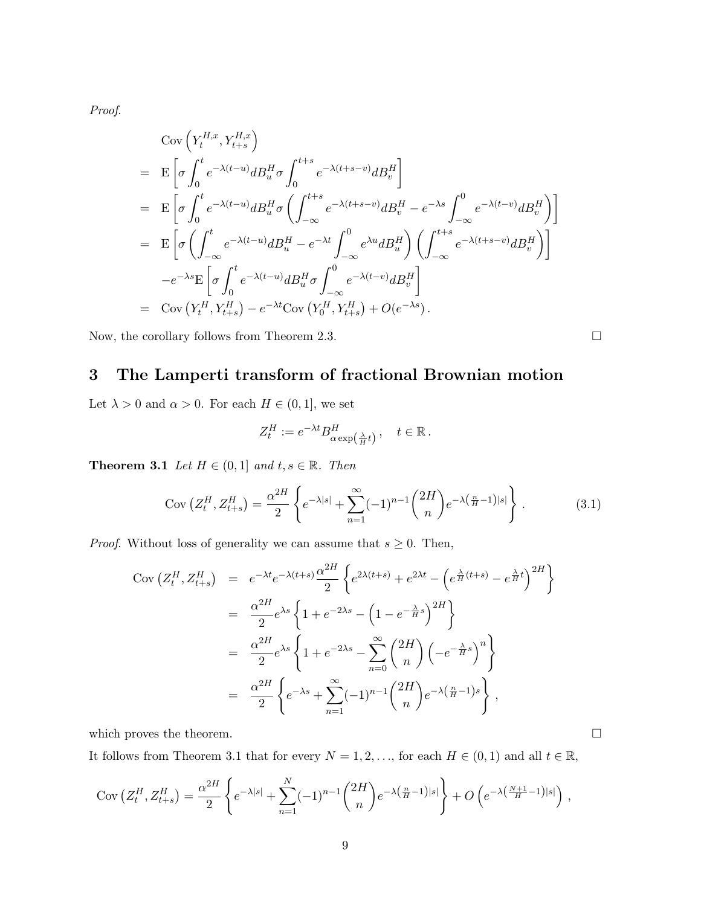Proof.

$$
\begin{split}\n&\text{Cov}\left(Y_t^{H,x}, Y_{t+s}^{H,x}\right) \\
&= \mathbf{E}\left[\sigma \int_0^t e^{-\lambda(t-u)} dB_u^H \sigma \int_0^{t+s} e^{-\lambda(t+s-v)} dB_v^H\right] \\
&= \mathbf{E}\left[\sigma \int_0^t e^{-\lambda(t-u)} dB_u^H \sigma \left(\int_{-\infty}^{t+s} e^{-\lambda(t+s-v)} dB_v^H - e^{-\lambda s} \int_{-\infty}^0 e^{-\lambda(t-v)} dB_v^H\right)\right] \\
&= \mathbf{E}\left[\sigma \left(\int_{-\infty}^t e^{-\lambda(t-u)} dB_u^H - e^{-\lambda t} \int_{-\infty}^0 e^{\lambda u} dB_u^H\right) \left(\int_{-\infty}^{t+s} e^{-\lambda(t+s-v)} dB_v^H\right)\right] \\
&- e^{-\lambda s} \mathbf{E}\left[\sigma \int_0^t e^{-\lambda(t-u)} dB_u^H \sigma \int_{-\infty}^0 e^{-\lambda(t-v)} dB_v^H\right] \\
&= \text{Cov}\left(Y_t^H, Y_{t+s}^H\right) - e^{-\lambda t} \text{Cov}\left(Y_0^H, Y_{t+s}^H\right) + O(e^{-\lambda s}).\n\end{split}
$$

Now, the corollary follows from Theorem 2.3.  $\Box$ 

# 3 The Lamperti transform of fractional Brownian motion

Let  $\lambda > 0$  and  $\alpha > 0$ . For each  $H \in (0, 1]$ , we set

$$
Z_t^H := e^{-\lambda t} B_{\alpha \exp\left(\frac{\lambda}{H}t\right)}^H, \quad t \in \mathbb{R}.
$$

**Theorem 3.1** Let  $H \in (0,1]$  and  $t, s \in \mathbb{R}$ . Then

$$
Cov\left(Z_t^H, Z_{t+s}^H\right) = \frac{\alpha^{2H}}{2} \left\{ e^{-\lambda|s|} + \sum_{n=1}^{\infty} (-1)^{n-1} {2H \choose n} e^{-\lambda \left(\frac{n}{H} - 1\right)|s|} \right\}.
$$
 (3.1)

*Proof.* Without loss of generality we can assume that  $s \geq 0$ . Then,

$$
\begin{split}\n\text{Cov}\left(Z_t^H, Z_{t+s}^H\right) &= e^{-\lambda t} e^{-\lambda(t+s)} \frac{\alpha^{2H}}{2} \left\{ e^{2\lambda(t+s)} + e^{2\lambda t} - \left( e^{\frac{\lambda}{H}(t+s)} - e^{\frac{\lambda}{H}t} \right)^{2H} \right\} \\
&= \frac{\alpha^{2H}}{2} e^{\lambda s} \left\{ 1 + e^{-2\lambda s} - \left( 1 - e^{-\frac{\lambda}{H}s} \right)^{2H} \right\} \\
&= \frac{\alpha^{2H}}{2} e^{\lambda s} \left\{ 1 + e^{-2\lambda s} - \sum_{n=0}^{\infty} \binom{2H}{n} \left( -e^{-\frac{\lambda}{H}s} \right)^n \right\} \\
&= \frac{\alpha^{2H}}{2} \left\{ e^{-\lambda s} + \sum_{n=1}^{\infty} (-1)^{n-1} \binom{2H}{n} e^{-\lambda \left( \frac{n}{H} - 1 \right)s} \right\},\n\end{split}
$$

which proves the theorem.  $\Box$ 

It follows from Theorem 3.1 that for every  $N = 1, 2, \ldots$ , for each  $H \in (0, 1)$  and all  $t \in \mathbb{R}$ ,

$$
Cov(Z_t^H, Z_{t+s}^H) = \frac{\alpha^{2H}}{2} \left\{ e^{-\lambda|s|} + \sum_{n=1}^N (-1)^{n-1} {2H \choose n} e^{-\lambda (\frac{n}{H}-1)|s|} \right\} + O\left(e^{-\lambda (\frac{N+1}{H}-1)|s|}\right),
$$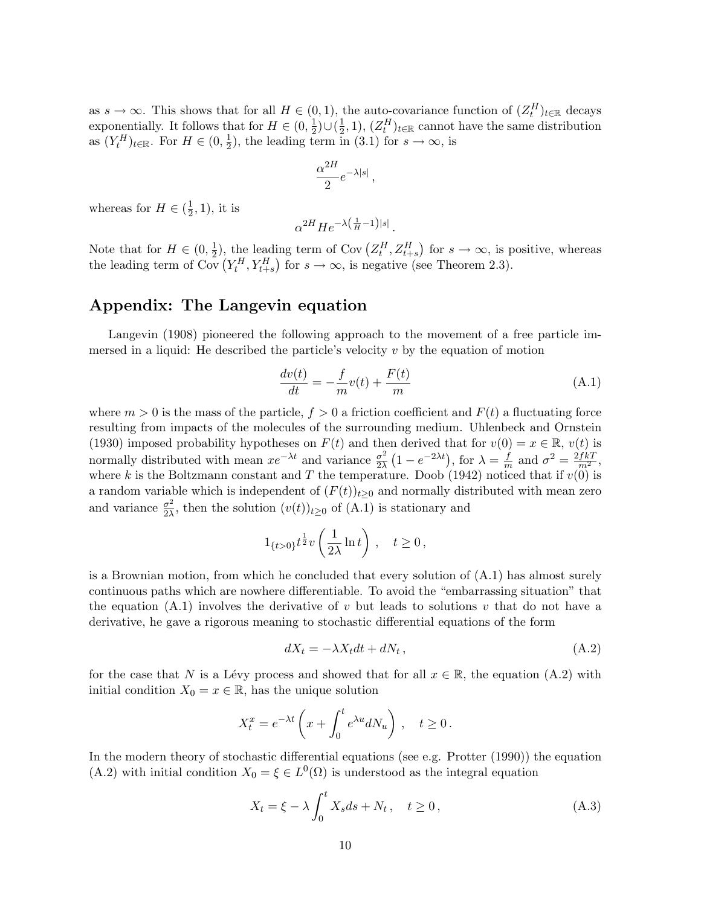as  $s \to \infty$ . This shows that for all  $H \in (0,1)$ , the auto-covariance function of  $(Z_t^H)_{t \in \mathbb{R}}$  decays exponentially. It follows that for  $H \in (0, \frac{1}{2})$  $(\frac{1}{2})\cup(\frac{1}{2})$  $(\frac{1}{2}, 1), (Z_t^H)_{t \in \mathbb{R}}$  cannot have the same distribution as  $(Y_t^H)_{t \in \mathbb{R}}$ . For  $H \in (0, \frac{1}{2})$  $(\frac{1}{2})$ , the leading term in (3.1) for  $s \to \infty$ , is

$$
\frac{\alpha^{2H}}{2}e^{-\lambda|s|}\,,
$$

whereas for  $H \in (\frac{1}{2})$  $(\frac{1}{2}, 1)$ , it is

$$
\alpha^{2H}He^{-\lambda(\frac{1}{H}-1)|s|}.
$$

Note that for  $H \in (0, \frac{1}{2})$  $(\frac{1}{2})$ , the leading term of Cov  $(Z_t^H, Z_{t+s}^H)$ ¢ ing term of Cov $(Z_t^H, Z_{t+s}^H)$  for  $s \to \infty$ , is positive, whereas Note that for  $H \in (0, \frac{1}{2})$ , the leading term of Cov  $(Z_t^T, Z_{t+s}^T)$  for  $s \to \infty$ , is positive (see Theorem 2.3).

#### Appendix: The Langevin equation

Langevin (1908) pioneered the following approach to the movement of a free particle immersed in a liquid: He described the particle's velocity  $v$  by the equation of motion

$$
\frac{dv(t)}{dt} = -\frac{f}{m}v(t) + \frac{F(t)}{m} \tag{A.1}
$$

where  $m > 0$  is the mass of the particle,  $f > 0$  a friction coefficient and  $F(t)$  a fluctuating force resulting from impacts of the molecules of the surrounding medium. Uhlenbeck and Ornstein (1930) imposed probability hypotheses on  $F(t)$  and then derived that for  $v(0) = x \in \mathbb{R}$ ,  $v(t)$  is normally distributed with mean  $xe^{-\lambda t}$  and variance  $\frac{\sigma^2}{2\lambda}$  $\overline{2\lambda}$ !!<br>′  $1 - e^{-2\lambda t}$ , for  $\lambda = \frac{f}{r}$  $\frac{f}{m}$  and  $\sigma^2 = \frac{2fkT}{m^2}$ , where k is the Boltzmann constant and T the temperature. Doob (1942) noticed that if  $v(0)$  is a random variable which is independent of  $(F(t))_{t\geq0}$  and normally distributed with mean zero and variance  $\frac{\sigma^2}{2\lambda}$  $\frac{\sigma^2}{2\lambda}$ , then the solution  $(v(t))_{t\geq0}$  of  $(A.1)$  is stationary and

$$
1_{\{t>0\}}t^{\frac{1}{2}}v\left(\frac{1}{2\lambda}\ln t\right), \quad t\geq 0,
$$

is a Brownian motion, from which he concluded that every solution of (A.1) has almost surely continuous paths which are nowhere differentiable. To avoid the "embarrassing situation" that the equation  $(A.1)$  involves the derivative of v but leads to solutions v that do not have a derivative, he gave a rigorous meaning to stochastic differential equations of the form

$$
dX_t = -\lambda X_t dt + dN_t, \qquad (A.2)
$$

for the case that N is a Lévy process and showed that for all  $x \in \mathbb{R}$ , the equation (A.2) with initial condition  $X_0 = x \in \mathbb{R}$ , has the unique solution

$$
X_t^x = e^{-\lambda t} \left( x + \int_0^t e^{\lambda u} dN_u \right), \quad t \ge 0.
$$

In the modern theory of stochastic differential equations (see e.g. Protter (1990)) the equation (A.2) with initial condition  $X_0 = \xi \in L^0(\Omega)$  is understood as the integral equation

$$
X_t = \xi - \lambda \int_0^t X_s ds + N_t, \quad t \ge 0,
$$
\n(A.3)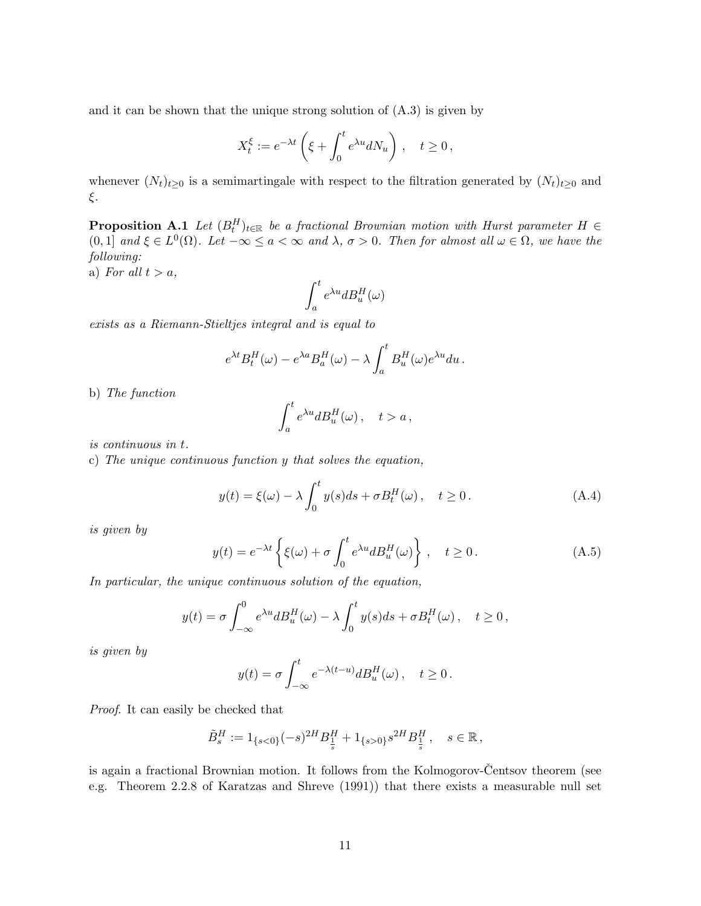and it can be shown that the unique strong solution of (A.3) is given by

$$
X_t^\xi:=e^{-\lambda t}\left(\xi+\int_0^te^{\lambda u}dN_u\right)\,,\quad t\geq 0\,,
$$

whenever  $(N_t)_{t\geq 0}$  is a semimartingale with respect to the filtration generated by  $(N_t)_{t\geq 0}$  and ξ.

**Proposition A.1** Let  $(B_t^H)_{t \in \mathbb{R}}$  be a fractional Brownian motion with Hurst parameter  $H \in$ (0, 1) and  $\xi \in L^0(\Omega)$ . Let  $-\infty \le a < \infty$  and  $\lambda, \sigma > 0$ . Then for almost all  $\omega \in \Omega$ , we have the following:

a) For all  $t > a$ ,

$$
\int_a^t e^{\lambda u}dB^H_u(\omega)
$$

exists as a Riemann-Stieltjes integral and is equal to

$$
e^{\lambda t}B_t^H(\omega) - e^{\lambda a}B_a^H(\omega) - \lambda \int_a^t B_u^H(\omega)e^{\lambda u}du.
$$

b) The function

$$
\int_a^t e^{\lambda u} dB_u^H(\omega), \quad t > a,
$$

is continuous in t.

c) The unique continuous function y that solves the equation,

$$
y(t) = \xi(\omega) - \lambda \int_0^t y(s)ds + \sigma B_t^H(\omega), \quad t \ge 0.
$$
 (A.4)

is given by

$$
y(t) = e^{-\lambda t} \left\{ \xi(\omega) + \sigma \int_0^t e^{\lambda u} dW_u^H(\omega) \right\}, \quad t \ge 0.
$$
 (A.5)

In particular, the unique continuous solution of the equation,

$$
y(t) = \sigma \int_{-\infty}^{0} e^{\lambda u} dB_u^H(\omega) - \lambda \int_0^t y(s) ds + \sigma B_t^H(\omega), \quad t \ge 0,
$$

is given by

$$
y(t) = \sigma \int_{-\infty}^{t} e^{-\lambda(t-u)} dB_u^H(\omega) , \quad t \ge 0.
$$

Proof. It can easily be checked that

$$
\tilde{B}^H_s := 1_{\{s<0\}}(-s)^{2H} B^H_{\frac{1}{s}} + 1_{\{s>0\}} s^{2H} B^H_{\frac{1}{s}} , \quad s \in \mathbb{R} \,,
$$

is again a fractional Brownian motion. It follows from the Kolmogorov-Centsov theorem (see e.g. Theorem 2.2.8 of Karatzas and Shreve (1991)) that there exists a measurable null set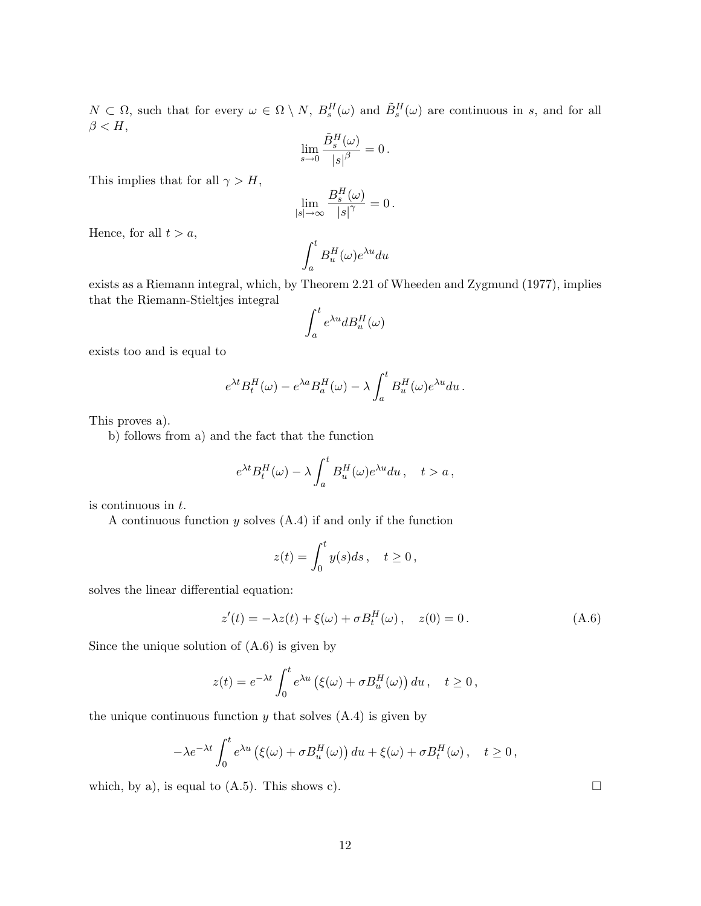$N \subset \Omega$ , such that for every  $\omega \in \Omega \setminus N$ ,  $B_s^H(\omega)$  and  $\tilde{B}_s^H(\omega)$  are continuous in s, and for all  $\beta < H$ ,

$$
\lim_{s\to 0}\frac{\tilde{B}^{H}_{s}(\omega)}{\left\vert s\right\vert ^{\beta}}=0\,.
$$

This implies that for all  $\gamma > H$ ,

$$
\lim_{|s|\to\infty}\frac{B_s^H(\omega)}{|s|^\gamma}=0.
$$

Hence, for all  $t > a$ ,

$$
\int_a^t B_u^H(\omega) e^{\lambda u} du
$$

exists as a Riemann integral, which, by Theorem 2.21 of Wheeden and Zygmund (1977), implies that the Riemann-Stieltjes integral

$$
\int_a^t e^{\lambda u} dB^H_u(\omega)
$$

exists too and is equal to

$$
e^{\lambda t} B^H_t(\omega) - e^{\lambda a} B^H_a(\omega) - \lambda \int_a^t B^H_u(\omega) e^{\lambda u} du.
$$

This proves a).

b) follows from a) and the fact that the function

$$
e^{\lambda t}B_t^H(\omega) - \lambda \int_a^t B_u^H(\omega)e^{\lambda u} du, \quad t > a,
$$

is continuous in t.

A continuous function  $y$  solves  $(A.4)$  if and only if the function

$$
z(t) = \int_0^t y(s)ds \, , \quad t \ge 0 \, ,
$$

solves the linear differential equation:

$$
z'(t) = -\lambda z(t) + \xi(\omega) + \sigma B_t^H(\omega), \quad z(0) = 0.
$$
 (A.6)

Since the unique solution of (A.6) is given by

$$
z(t) = e^{-\lambda t} \int_0^t e^{\lambda u} \left( \xi(\omega) + \sigma B_u^H(\omega) \right) du, \quad t \ge 0,
$$

the unique continuous function  $y$  that solves  $(A.4)$  is given by

$$
-\lambda e^{-\lambda t} \int_0^t e^{\lambda u} \left(\xi(\omega) + \sigma B_u^H(\omega)\right) du + \xi(\omega) + \sigma B_t^H(\omega), \quad t \ge 0,
$$

which, by a), is equal to (A.5). This shows c).  $\Box$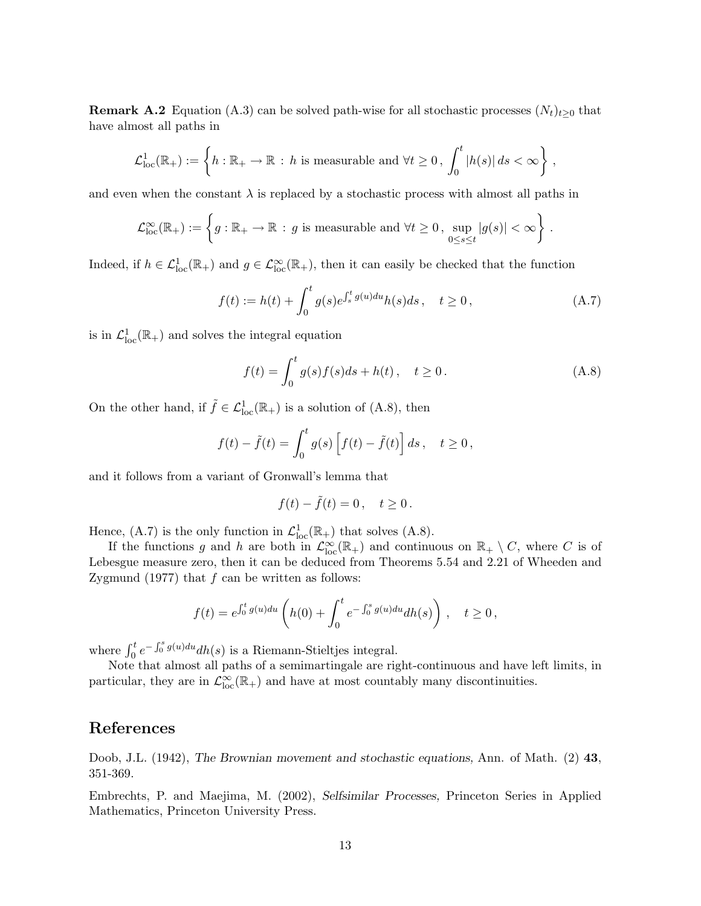**Remark A.2** Equation (A.3) can be solved path-wise for all stochastic processes  $(N_t)_{t>0}$  that have almost all paths in

$$
\mathcal{L}^1_{\text{loc}}(\mathbb{R}_+):=\left\{h:\mathbb{R}_+\to\mathbb{R}\,:\, h \text{ is measurable and } \forall t\geq 0\,,\, \int_0^t|h(s)|\,ds<\infty\right\}\,,
$$

and even when the constant  $\lambda$  is replaced by a stochastic process with almost all paths in

$$
\mathcal{L}^\infty_{\text{loc}}(\mathbb{R}_+):=\left\{g:\mathbb{R}_+\to\mathbb{R}\,:\, g\text{ is measurable and }\forall t\geq 0\,,\,\sup_{0\leq s\leq t}|g(s)|<\infty\right\}\,.
$$

Indeed, if  $h \in \mathcal{L}_{loc}^1(\mathbb{R}_+)$  and  $g \in \mathcal{L}_{loc}^{\infty}(\mathbb{R}_+)$ , then it can easily be checked that the function

$$
f(t) := h(t) + \int_0^t g(s)e^{\int_s^t g(u)du}h(s)ds, \quad t \ge 0,
$$
 (A.7)

is in  $\mathcal{L}^1_{loc}(\mathbb{R}_+)$  and solves the integral equation

$$
f(t) = \int_0^t g(s)f(s)ds + h(t), \quad t \ge 0.
$$
 (A.8)

On the other hand, if  $\tilde{f} \in \mathcal{L}_{loc}^1(\mathbb{R}_+)$  is a solution of (A.8), then

$$
f(t) - \tilde{f}(t) = \int_0^t g(s) \left[ f(t) - \tilde{f}(t) \right] ds, \quad t \ge 0,
$$

and it follows from a variant of Gronwall's lemma that

$$
f(t) - \tilde{f}(t) = 0, \quad t \ge 0.
$$

Hence, (A.7) is the only function in  $\mathcal{L}^1_{loc}(\mathbb{R}_+)$  that solves (A.8).

If the functions g and h are both in  $\mathcal{L}_{loc}^{\infty}(\mathbb{R}_{+})$  and continuous on  $\mathbb{R}_{+} \setminus C$ , where C is of Lebesgue measure zero, then it can be deduced from Theorems 5.54 and 2.21 of Wheeden and Zygmund  $(1977)$  that  $f$  can be written as follows:

$$
f(t) = e^{\int_0^t g(u)du} \left( h(0) + \int_0^t e^{-\int_0^s g(u)du} dh(s) \right), \quad t \ge 0,
$$

where  $\int_0^t e^{-\int_0^s g(u)du} dh(s)$  is a Riemann-Stieltjes integral.

Note that almost all paths of a semimartingale are right-continuous and have left limits, in particular, they are in  $\mathcal{L}_{loc}^{\infty}(\mathbb{R}_{+})$  and have at most countably many discontinuities.

## References

Doob, J.L. (1942), The Brownian movement and stochastic equations, Ann. of Math. (2) 43, 351-369.

Embrechts, P. and Maejima, M. (2002), Selfsimilar Processes, Princeton Series in Applied Mathematics, Princeton University Press.